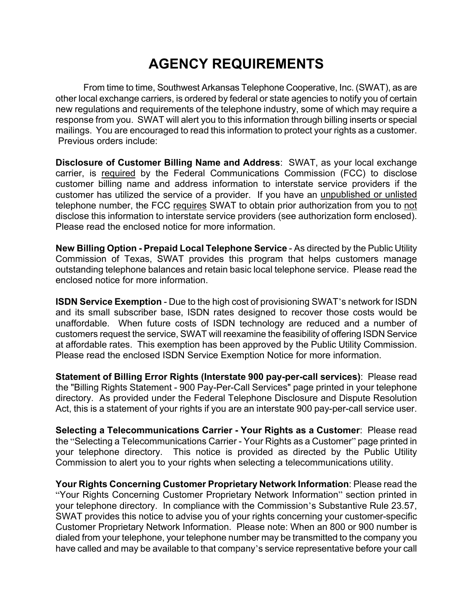## **AGENCY REQUIREMENTS**

From time to time, Southwest Arkansas Telephone Cooperative, Inc. (SWAT), as are other local exchange carriers, is ordered by federal or state agencies to notify you of certain new regulations and requirements of the telephone industry, some of which may require a response from you. SWAT will alert you to this information through billing inserts or special mailings. You are encouraged to read this information to protect your rights as a customer. Previous orders include:

**Disclosure of Customer Billing Name and Address**: SWAT, as your local exchange carrier, is required by the Federal Communications Commission (FCC) to disclose customer billing name and address information to interstate service providers if the customer has utilized the service of a provider. If you have an unpublished or unlisted telephone number, the FCC requires SWAT to obtain prior authorization from you to not disclose this information to interstate service providers (see authorization form enclosed). Please read the enclosed notice for more information.

**New Billing Option - Prepaid Local Telephone Service** - As directed by the Public Utility Commission of Texas, SWAT provides this program that helps customers manage outstanding telephone balances and retain basic local telephone service. Please read the enclosed notice for more information.

**ISDN Service Exemption** - Due to the high cost of provisioning SWAT's network for ISDN and its small subscriber base, ISDN rates designed to recover those costs would be unaffordable. When future costs of ISDN technology are reduced and a number of customers request the service, SWAT will reexamine the feasibility of offering ISDN Service at affordable rates. This exemption has been approved by the Public Utility Commission. Please read the enclosed ISDN Service Exemption Notice for more information.

**Statement of Billing Error Rights (Interstate 900 pay-per-call services)**: Please read the "Billing Rights Statement - 900 Pay-Per-Call Services" page printed in your telephone directory. As provided under the Federal Telephone Disclosure and Dispute Resolution Act, this is a statement of your rights if you are an interstate 900 pay-per-call service user.

**Selecting a Telecommunications Carrier - Your Rights as a Customer**: Please read the "Selecting a Telecommunications Carrier - Your Rights as a Customer" page printed in your telephone directory. This notice is provided as directed by the Public Utility Commission to alert you to your rights when selecting a telecommunications utility.

**Your Rights Concerning Customer Proprietary Network Information**: Please read the "Your Rights Concerning Customer Proprietary Network Information" section printed in your telephone directory. In compliance with the Commission's Substantive Rule 23.57, SWAT provides this notice to advise you of your rights concerning your customer-specific Customer Proprietary Network Information. Please note: When an 800 or 900 number is dialed from your telephone, your telephone number may be transmitted to the company you have called and may be available to that company's service representative before your call